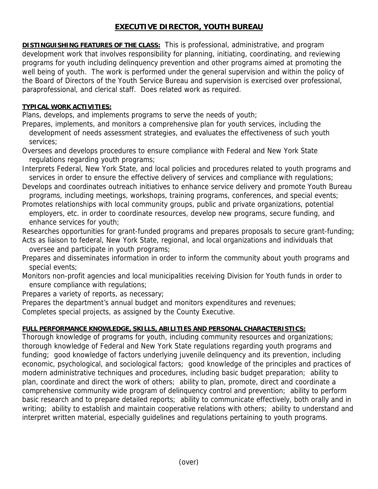## **EXECUTIVE DIRECTOR, YOUTH BUREAU**

**DISTINGUISHING FEATURES OF THE CLASS:** This is professional, administrative, and program development work that involves responsibility for planning, initiating, coordinating, and reviewing programs for youth including delinquency prevention and other programs aimed at promoting the well being of youth. The work is performed under the general supervision and within the policy of the Board of Directors of the Youth Service Bureau and supervision is exercised over professional, paraprofessional, and clerical staff. Does related work as required.

## **TYPICAL WORK ACTIVITIES:**

Plans, develops, and implements programs to serve the needs of youth;

Prepares, implements, and monitors a comprehensive plan for youth services, including the development of needs assessment strategies, and evaluates the effectiveness of such youth services;

Oversees and develops procedures to ensure compliance with Federal and New York State regulations regarding youth programs;

Interprets Federal, New York State, and local policies and procedures related to youth programs and services in order to ensure the effective delivery of services and compliance with regulations;

- Develops and coordinates outreach initiatives to enhance service delivery and promote Youth Bureau programs, including meetings, workshops, training programs, conferences, and special events;
- Promotes relationships with local community groups, public and private organizations, potential employers, etc. in order to coordinate resources, develop new programs, secure funding, and enhance services for youth;

Researches opportunities for grant-funded programs and prepares proposals to secure grant-funding; Acts as liaison to federal, New York State, regional, and local organizations and individuals that

oversee and participate in youth programs;

- Prepares and disseminates information in order to inform the community about youth programs and special events;
- Monitors non-profit agencies and local municipalities receiving Division for Youth funds in order to ensure compliance with regulations;

Prepares a variety of reports, as necessary;

Prepares the department's annual budget and monitors expenditures and revenues;

Completes special projects, as assigned by the County Executive.

## **FULL PERFORMANCE KNOWLEDGE, SKILLS, ABILITIES AND PERSONAL CHARACTERISTICS:**

Thorough knowledge of programs for youth, including community resources and organizations; thorough knowledge of Federal and New York State regulations regarding youth programs and funding; good knowledge of factors underlying juvenile delinquency and its prevention, including economic, psychological, and sociological factors; good knowledge of the principles and practices of modern administrative techniques and procedures, including basic budget preparation; ability to plan, coordinate and direct the work of others; ability to plan, promote, direct and coordinate a comprehensive community wide program of delinquency control and prevention; ability to perform basic research and to prepare detailed reports; ability to communicate effectively, both orally and in writing; ability to establish and maintain cooperative relations with others; ability to understand and interpret written material, especially guidelines and regulations pertaining to youth programs.